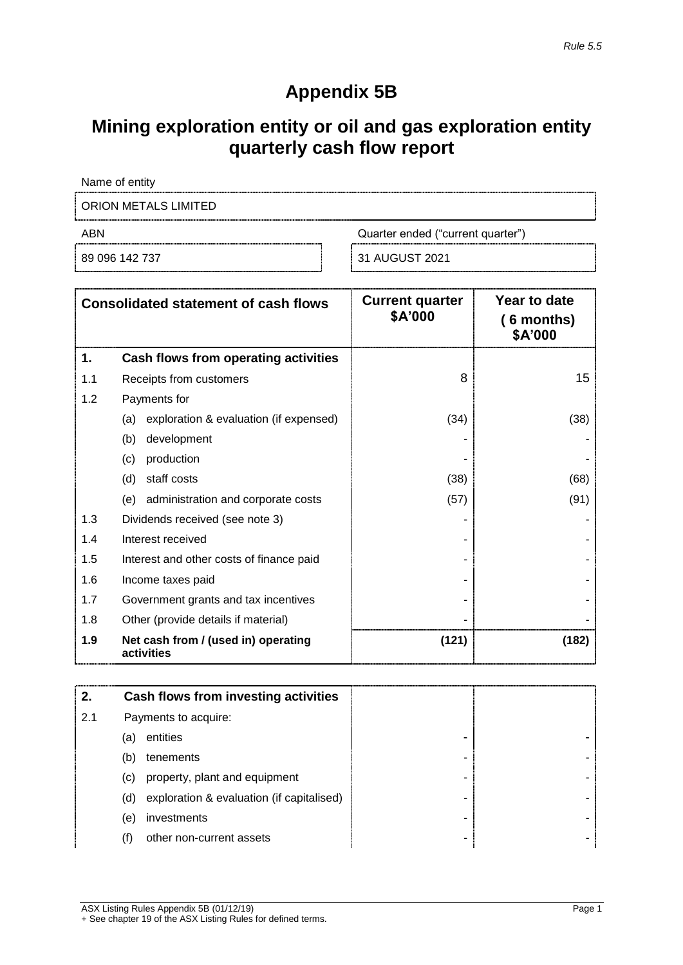## **Appendix 5B**

## **Mining exploration entity or oil and gas exploration entity quarterly cash flow report**

Name of entity ORION METALS LIMITED 

ABN **ABN** Quarter ended ("current quarter")

89 096 142 737 31 AUGUST 2021

|     | <b>Consolidated statement of cash flows</b>       | <b>Current quarter</b><br>\$A'000 | Year to date<br>$(6$ months)<br>\$A'000 |
|-----|---------------------------------------------------|-----------------------------------|-----------------------------------------|
| 1.  | Cash flows from operating activities              |                                   |                                         |
| 1.1 | Receipts from customers                           | 8                                 | 15                                      |
| 1.2 | Payments for                                      |                                   |                                         |
|     | exploration & evaluation (if expensed)<br>(a)     | (34)                              | (38)                                    |
|     | development<br>(b)                                |                                   |                                         |
|     | production<br>(c)                                 |                                   |                                         |
|     | staff costs<br>(d)                                | (38)                              | (68)                                    |
|     | administration and corporate costs<br>(e)         | (57)                              | (91)                                    |
| 1.3 | Dividends received (see note 3)                   |                                   |                                         |
| 1.4 | Interest received                                 |                                   |                                         |
| 1.5 | Interest and other costs of finance paid          |                                   |                                         |
| 1.6 | Income taxes paid                                 |                                   |                                         |
| 1.7 | Government grants and tax incentives              |                                   |                                         |
| 1.8 | Other (provide details if material)               |                                   |                                         |
| 1.9 | Net cash from / (used in) operating<br>activities | (121)                             | (182)                                   |

| 2.  | Cash flows from investing activities      |   |  |
|-----|-------------------------------------------|---|--|
| 2.1 | Payments to acquire:                      |   |  |
| (a) | entities                                  | - |  |
| (b) | tenements                                 |   |  |
| (c) | property, plant and equipment             |   |  |
| (d) | exploration & evaluation (if capitalised) |   |  |
| (e) | investments                               | - |  |
| (f) | other non-current assets                  | - |  |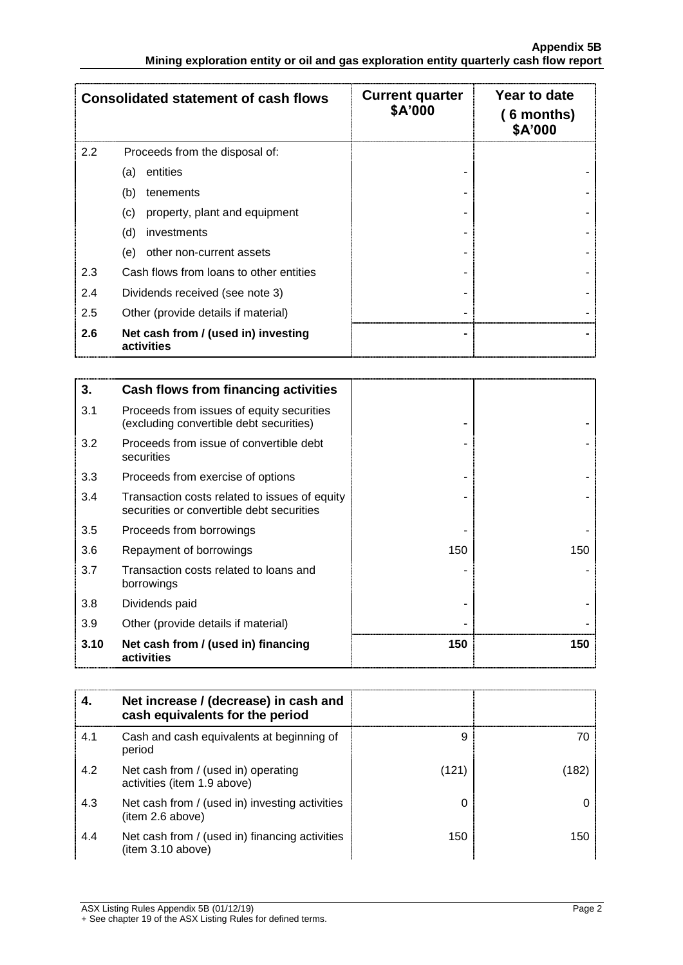|     | <b>Consolidated statement of cash flows</b>       | <b>Current quarter</b><br>\$A'000 | Year to date<br>$(6$ months)<br>\$A'000 |
|-----|---------------------------------------------------|-----------------------------------|-----------------------------------------|
| 2.2 | Proceeds from the disposal of:                    |                                   |                                         |
|     | entities<br>(a)                                   |                                   |                                         |
|     | (b)<br>tenements                                  |                                   |                                         |
|     | property, plant and equipment<br>(c)              |                                   |                                         |
|     | (d)<br>investments                                |                                   |                                         |
|     | other non-current assets<br>(e)                   |                                   |                                         |
| 2.3 | Cash flows from loans to other entities           |                                   |                                         |
| 2.4 | Dividends received (see note 3)                   |                                   |                                         |
| 2.5 | Other (provide details if material)               |                                   |                                         |
| 2.6 | Net cash from / (used in) investing<br>activities |                                   |                                         |

| 3.   | Cash flows from financing activities                                                       |     |     |
|------|--------------------------------------------------------------------------------------------|-----|-----|
| 3.1  | Proceeds from issues of equity securities<br>(excluding convertible debt securities)       |     |     |
| 3.2  | Proceeds from issue of convertible debt<br>securities                                      |     |     |
| 3.3  | Proceeds from exercise of options                                                          |     |     |
| 3.4  | Transaction costs related to issues of equity<br>securities or convertible debt securities |     |     |
| 3.5  | Proceeds from borrowings                                                                   |     |     |
| 3.6  | Repayment of borrowings                                                                    | 150 | 150 |
| 3.7  | Transaction costs related to loans and<br>borrowings                                       |     |     |
| 3.8  | Dividends paid                                                                             |     |     |
| 3.9  | Other (provide details if material)                                                        |     |     |
| 3.10 | Net cash from / (used in) financing<br>activities                                          | 150 | 150 |

|     | Net increase / (decrease) in cash and<br>cash equivalents for the period |       |      |
|-----|--------------------------------------------------------------------------|-------|------|
| 4.1 | Cash and cash equivalents at beginning of<br>period                      | 9     | 70   |
| 4.2 | Net cash from / (used in) operating<br>activities (item 1.9 above)       | (121) | ้182 |
| 4.3 | Net cash from / (used in) investing activities<br>(item 2.6 above)       |       |      |
| 4.4 | Net cash from / (used in) financing activities<br>(item 3.10 above)      | 150   | 150  |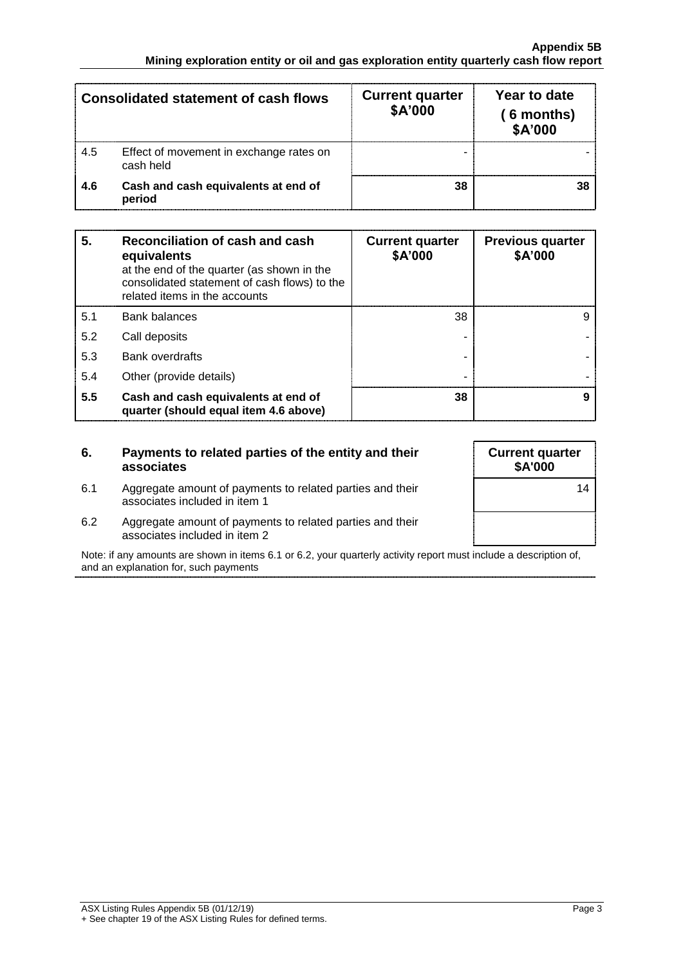|     | <b>Consolidated statement of cash flows</b>          | <b>Current quarter</b><br>\$A'000 | Year to date<br>(6 months)<br>\$A'000 |
|-----|------------------------------------------------------|-----------------------------------|---------------------------------------|
| 4.5 | Effect of movement in exchange rates on<br>cash held |                                   |                                       |
| 4.6 | Cash and cash equivalents at end of<br>period        | 38                                |                                       |

| 5.  | Reconciliation of cash and cash<br>equivalents<br>at the end of the quarter (as shown in the<br>consolidated statement of cash flows) to the<br>related items in the accounts | <b>Current quarter</b><br>\$A'000 | <b>Previous quarter</b><br>\$A'000 |
|-----|-------------------------------------------------------------------------------------------------------------------------------------------------------------------------------|-----------------------------------|------------------------------------|
| 5.1 | <b>Bank balances</b>                                                                                                                                                          | 38                                |                                    |
| 5.2 | Call deposits                                                                                                                                                                 |                                   |                                    |
| 5.3 | <b>Bank overdrafts</b>                                                                                                                                                        |                                   |                                    |
| 5.4 | Other (provide details)                                                                                                                                                       |                                   |                                    |
| 5.5 | Cash and cash equivalents at end of<br>quarter (should equal item 4.6 above)                                                                                                  | 38                                |                                    |

| 6.  | Payments to related parties of the entity and their<br>associates                          | <b>Current quarter</b><br><b>\$A'000</b> |
|-----|--------------------------------------------------------------------------------------------|------------------------------------------|
| 6.1 | Aggregate amount of payments to related parties and their<br>associates included in item 1 | 14                                       |
| 6.2 | Aggregate amount of payments to related parties and their<br>associates included in item 2 |                                          |

Note: if any amounts are shown in items 6.1 or 6.2, your quarterly activity report must include a description of, and an explanation for, such payments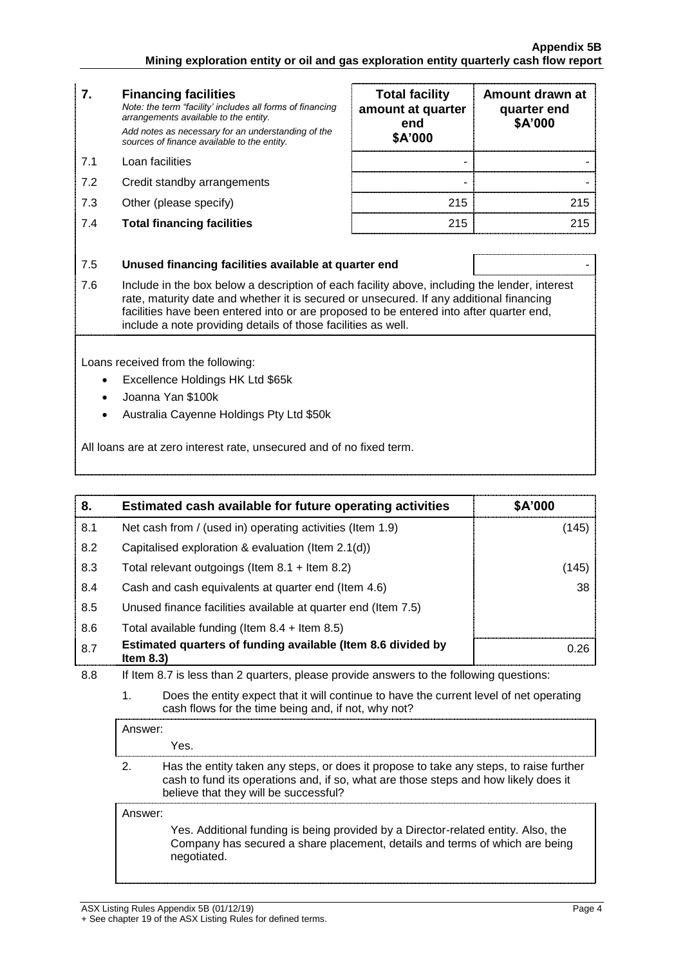| 7.  | <b>Financing facilities</b><br>Note: the term "facility' includes all forms of financing<br>arrangements available to the entity.<br>Add notes as necessary for an understanding of the<br>sources of finance available to the entity.                                                            | <b>Total facility</b><br>amount at quarter<br>end<br>\$A'000 | Amount drawn at<br>quarter end<br>\$A'000 |
|-----|---------------------------------------------------------------------------------------------------------------------------------------------------------------------------------------------------------------------------------------------------------------------------------------------------|--------------------------------------------------------------|-------------------------------------------|
| 7.1 | Loan facilities                                                                                                                                                                                                                                                                                   |                                                              |                                           |
| 7.2 | Credit standby arrangements                                                                                                                                                                                                                                                                       |                                                              |                                           |
| 7.3 | Other (please specify)                                                                                                                                                                                                                                                                            | 215                                                          | 215                                       |
| 7.4 | <b>Total financing facilities</b>                                                                                                                                                                                                                                                                 | 215                                                          | 215                                       |
|     |                                                                                                                                                                                                                                                                                                   |                                                              |                                           |
| 7.5 | Unused financing facilities available at quarter end                                                                                                                                                                                                                                              |                                                              |                                           |
| 7.6 | Include in the box below a description of each facility above, including the lender, interest<br>rate, maturity date and whether it is secured or unsecured. If any additional financing<br>fa allitha a bacca ba ann an taonad luta an ann nann an an dùta ba an tanad luta a ftan accantan an d |                                                              |                                           |

| <b>Total facility</b><br>amount at quarter<br>end<br>\$A'000 | Amount drawn at<br>quarter end<br>\$A'000 |
|--------------------------------------------------------------|-------------------------------------------|
|                                                              |                                           |
|                                                              |                                           |
| 215                                                          | 215                                       |
| 215                                                          | 215                                       |

ove, including the lender, interest ed. If any additional financing facilities have been entered into or are proposed to be entered into after quarter end, include a note providing details of those facilities as well.

Loans received from the following:

- Excellence Holdings HK Ltd \$65k
- Joanna Yan \$100k
- Australia Cayenne Holdings Pty Ltd \$50k

All loans are at zero interest rate, unsecured and of no fixed term.

| 8.  | Estimated cash available for future operating activities                     | \$A'000 |
|-----|------------------------------------------------------------------------------|---------|
| 8.1 | Net cash from / (used in) operating activities (Item 1.9)                    | (145)   |
| 8.2 | Capitalised exploration & evaluation (Item 2.1(d))                           |         |
| 8.3 | Total relevant outgoings (Item $8.1 +$ Item $8.2$ )                          | (145)   |
| 8.4 | Cash and cash equivalents at quarter end (Item 4.6)                          | 38      |
| 8.5 | Unused finance facilities available at quarter end (Item 7.5)                |         |
| 8.6 | Total available funding (Item $8.4$ + Item $8.5$ )                           |         |
| 8.7 | Estimated quarters of funding available (Item 8.6 divided by<br>Item $8.3$ ) | 0.26    |

8.8 If Item 8.7 is less than 2 quarters, please provide answers to the following questions:

1. Does the entity expect that it will continue to have the current level of net operating cash flows for the time being and, if not, why not?

Answer:

Yes.

2. Has the entity taken any steps, or does it propose to take any steps, to raise further cash to fund its operations and, if so, what are those steps and how likely does it believe that they will be successful?

Answer:

Yes. Additional funding is being provided by a Director-related entity. Also, the Company has secured a share placement, details and terms of which are being negotiated.